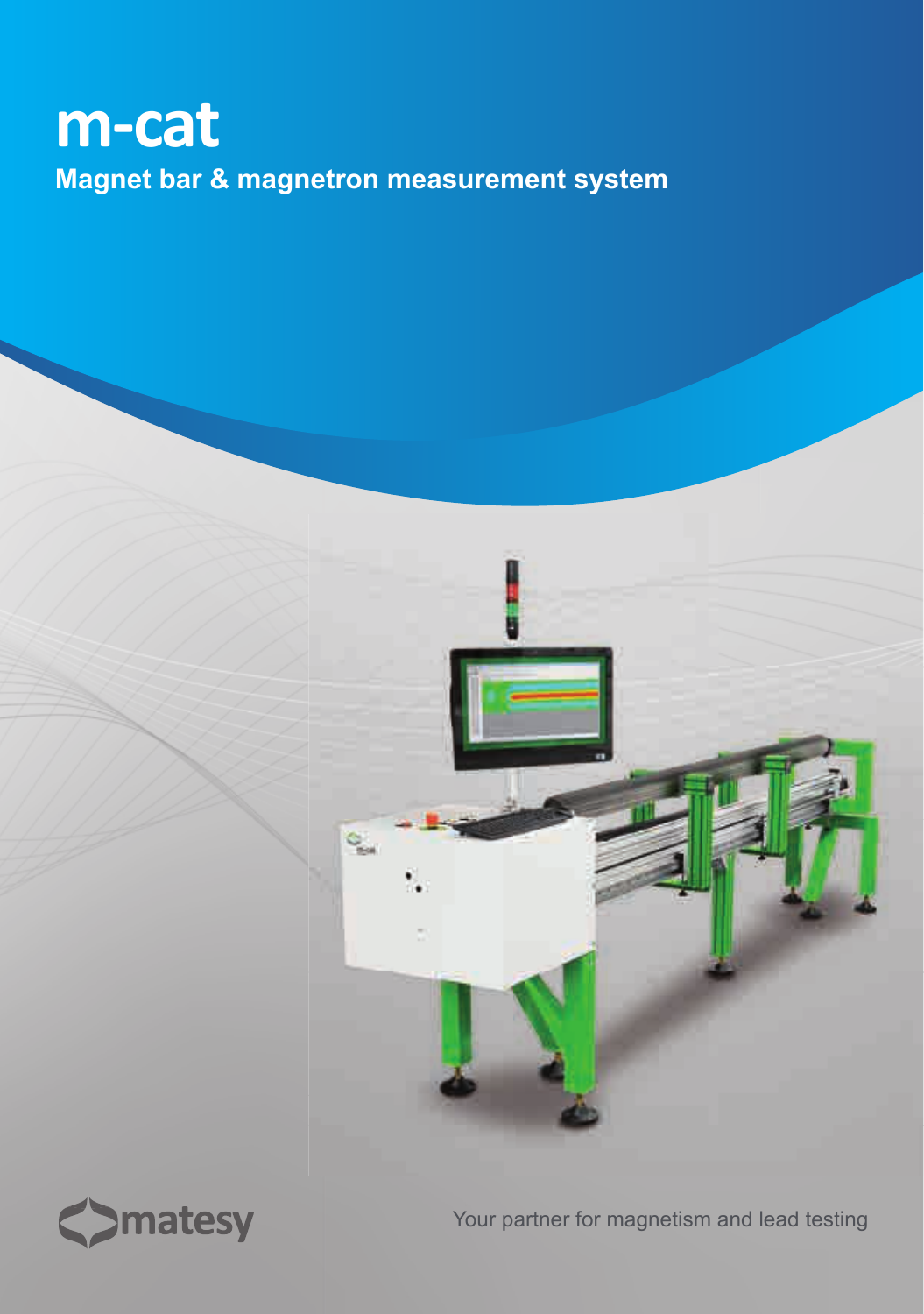# **m-cat Magnet bar & magnetron measurement system**





Your partner for magnetism and lead testing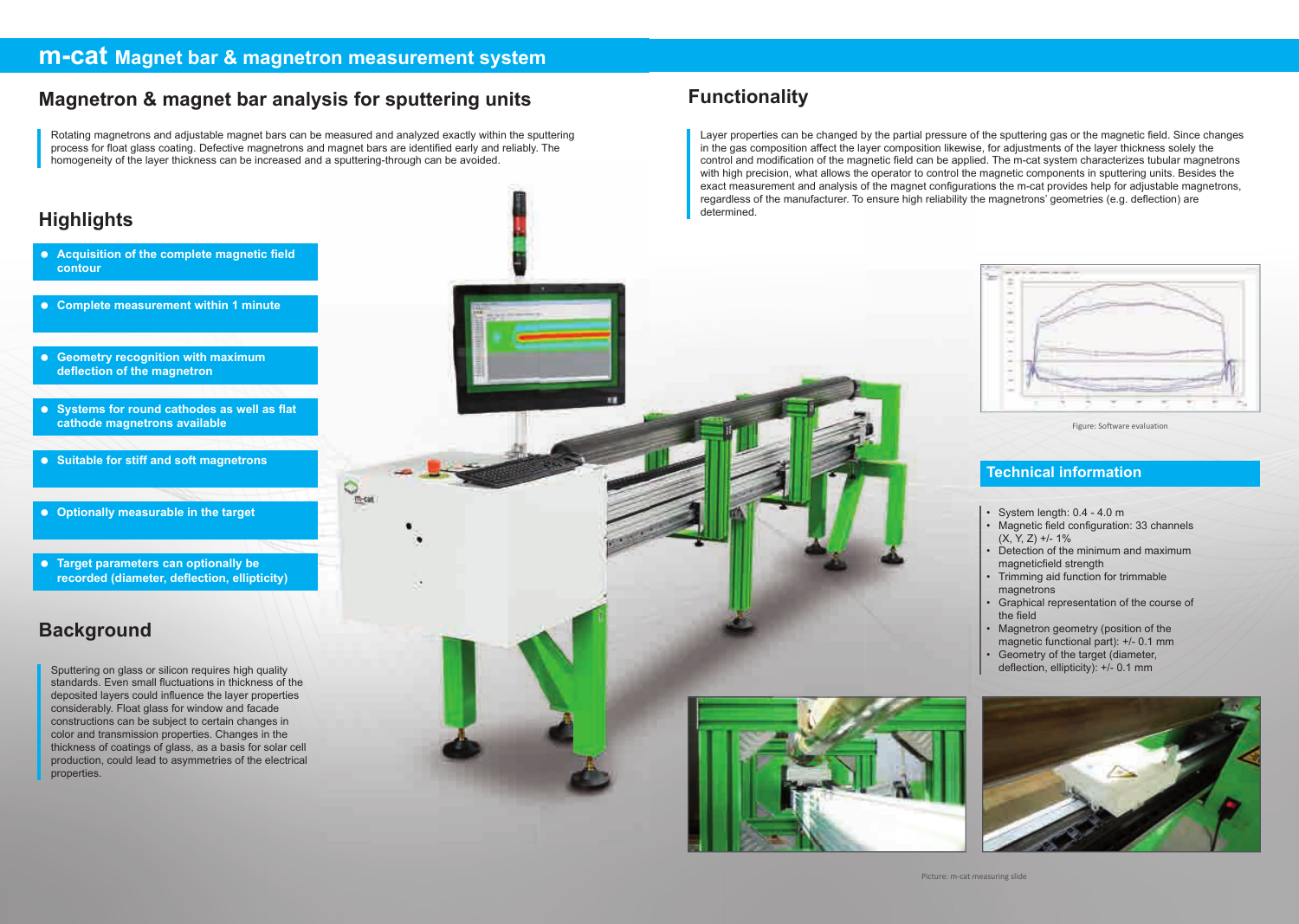Layer properties can be changed by the partial pressure of the sputtering gas or the magnetic field. Since changes in the gas composition affect the layer composition likewise, for adjustments of the layer thickness solely the control and modification of the magnetic field can be applied. The m-cat system characterizes tubular magnetrons with high precision, what allows the operator to control the magnetic components in sputtering units. Besides the exact measurement and analysis of the magnet configurations the m-cat provides help for adjustable magnetrons, regardless of the manufacturer. To ensure high reliability the magnetrons' geometries (e.g. deflection) are determined.





Rotating magnetrons and adjustable magnet bars can be measured and analyzed exactly within the sputtering process for float glass coating. Defective magnetrons and magnet bars are identified early and reliably. The homogeneity of the layer thickness can be increased and a sputtering-through can be avoided.

 $\frac{1}{\ln \alpha}$ 

#### **m-cat Magnet bar & magnetron measurement system**

## **Magnetron & magnet bar analysis for sputtering units Functionality**

### **Highlights**

- **Acquisition of the complete magnetic field contour**
- **Complete measurement within 1 minute**
- **Geometry recognition with maximum deflection of the magnetron**
- **Systems for round cathodes as well as flat cathode magnetrons available**
- **Suitable for stiff and soft magnetrons**
- **Optionally measurable in the target**
- **Target parameters can optionally be recorded (diameter, deflection, ellipticity)**

#### **Background**

Sputtering on glass or silicon requires high quality standards. Even small fluctuations in thickness of the deposited layers could influence the layer properties considerably. Float glass for window and facade constructions can be subject to certain changes in color and transmission properties. Changes in the thickness of coatings of glass, as a basis for solar cell production, could lead to asymmetries of the electrical properties.

#### **Technical information**

- System length: 0.4 4.0 m
- Magnetic field configuration: 33 channels  $(X, Y, Z)$  +/- 1%
- Detection of the minimum and maximum magneticfield strength
- Trimming aid function for trimmable magnetrons
- Graphical representation of the course of the field
- Magnetron geometry (position of the magnetic functional part): +/- 0.1 mm
- Geometry of the target (diameter, deflection, ellipticity): +/- 0.1 mm



Figure: Software evaluation